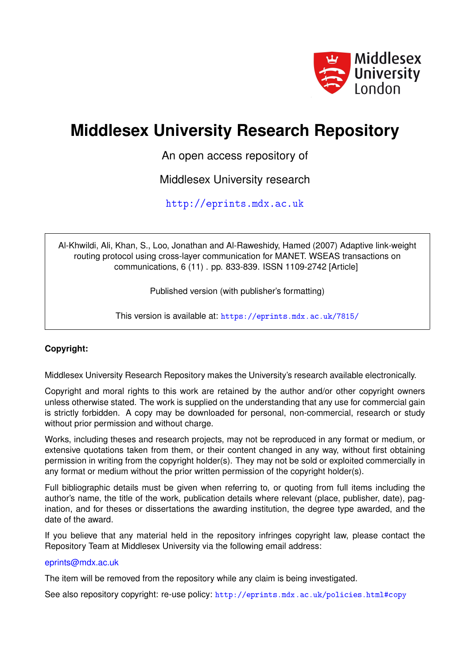

# **Middlesex University Research Repository**

An open access repository of

Middlesex University research

<http://eprints.mdx.ac.uk>

Al-Khwildi, Ali, Khan, S., Loo, Jonathan and Al-Raweshidy, Hamed (2007) Adaptive link-weight routing protocol using cross-layer communication for MANET. WSEAS transactions on communications, 6 (11) . pp. 833-839. ISSN 1109-2742 [Article]

Published version (with publisher's formatting)

This version is available at: <https://eprints.mdx.ac.uk/7815/>

## **Copyright:**

Middlesex University Research Repository makes the University's research available electronically.

Copyright and moral rights to this work are retained by the author and/or other copyright owners unless otherwise stated. The work is supplied on the understanding that any use for commercial gain is strictly forbidden. A copy may be downloaded for personal, non-commercial, research or study without prior permission and without charge.

Works, including theses and research projects, may not be reproduced in any format or medium, or extensive quotations taken from them, or their content changed in any way, without first obtaining permission in writing from the copyright holder(s). They may not be sold or exploited commercially in any format or medium without the prior written permission of the copyright holder(s).

Full bibliographic details must be given when referring to, or quoting from full items including the author's name, the title of the work, publication details where relevant (place, publisher, date), pagination, and for theses or dissertations the awarding institution, the degree type awarded, and the date of the award.

If you believe that any material held in the repository infringes copyright law, please contact the Repository Team at Middlesex University via the following email address:

## [eprints@mdx.ac.uk](mailto:eprints@mdx.ac.uk)

The item will be removed from the repository while any claim is being investigated.

See also repository copyright: re-use policy: <http://eprints.mdx.ac.uk/policies.html#copy>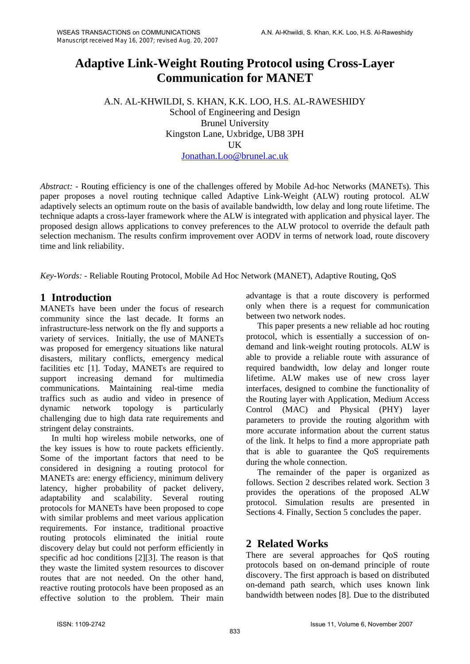## **Adaptive Link-Weight Routing Protocol using Cross-Layer Communication for MANET**

A.N. AL-KHWILDI, S. KHAN, K.K. LOO, H.S. AL-RAWESHIDY School of Engineering and Design Brunel University Kingston Lane, Uxbridge, UB8 3PH **IK** Jonathan.Loo@brunel.ac.uk

*Abstract: -* Routing efficiency is one of the challenges offered by Mobile Ad-hoc Networks (MANETs). This paper proposes a novel routing technique called Adaptive Link-Weight (ALW) routing protocol. ALW adaptively selects an optimum route on the basis of available bandwidth, low delay and long route lifetime. The technique adapts a cross-layer framework where the ALW is integrated with application and physical layer. The proposed design allows applications to convey preferences to the ALW protocol to override the default path selection mechanism. The results confirm improvement over AODV in terms of network load, route discovery time and link reliability.

*Key-Words: -* Reliable Routing Protocol, Mobile Ad Hoc Network (MANET), Adaptive Routing, QoS

## **1 Introduction**

MANETs have been under the focus of research community since the last decade. It forms an infrastructure-less network on the fly and supports a variety of services. Initially, the use of MANETs was proposed for emergency situations like natural disasters, military conflicts, emergency medical facilities etc [1]. Today, MANETs are required to support increasing demand for multimedia communications. Maintaining real-time media traffics such as audio and video in presence of dynamic network topology is particularly challenging due to high data rate requirements and stringent delay constraints.

In multi hop wireless mobile networks, one of the key issues is how to route packets efficiently. Some of the important factors that need to be considered in designing a routing protocol for MANETs are: energy efficiency, minimum delivery latency, higher probability of packet delivery, adaptability and scalability. Several routing protocols for MANETs have been proposed to cope with similar problems and meet various application requirements. For instance, traditional proactive routing protocols eliminated the initial route discovery delay but could not perform efficiently in specific ad hoc conditions [2][3]. The reason is that they waste the limited system resources to discover routes that are not needed. On the other hand, reactive routing protocols have been proposed as an effective solution to the problem. Their main advantage is that a route discovery is performed only when there is a request for communication between two network nodes.

This paper presents a new reliable ad hoc routing protocol, which is essentially a succession of ondemand and link-weight routing protocols. ALW is able to provide a reliable route with assurance of required bandwidth, low delay and longer route lifetime. ALW makes use of new cross layer interfaces, designed to combine the functionality of the Routing layer with Application, Medium Access Control (MAC) and Physical (PHY) layer parameters to provide the routing algorithm with more accurate information about the current status of the link. It helps to find a more appropriate path that is able to guarantee the QoS requirements during the whole connection.

The remainder of the paper is organized as follows. Section 2 describes related work. Section 3 provides the operations of the proposed ALW protocol. Simulation results are presented in Sections 4. Finally, Section 5 concludes the paper.

## **2 Related Works**

There are several approaches for QoS routing protocols based on on-demand principle of route discovery. The first approach is based on distributed on-demand path search, which uses known link bandwidth between nodes [8]. Due to the distributed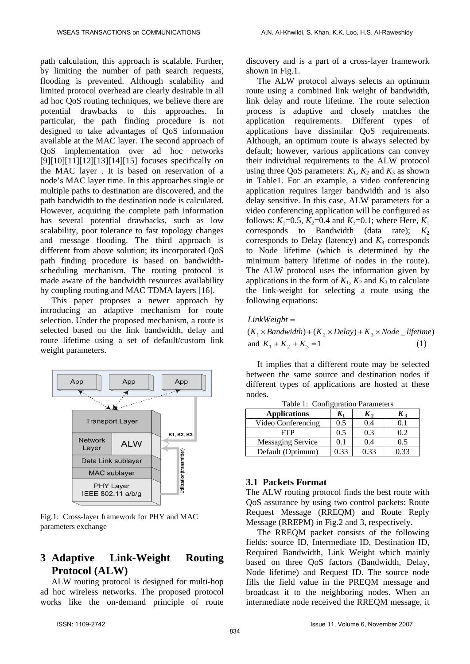path calculation, this approach is scalable. Further, by limiting the number of path search requests, flooding is prevented. Although scalability and limited protocol overhead are clearly desirable in all ad hoc QoS routing techniques, we believe there are potential drawbacks to this approaches. In particular, the path finding procedure is not designed to take advantages of QoS information available at the MAC layer. The second approach of QoS implementation over ad hoc networks  $[9][10][11][12][13][14][15]$  focuses specifically on the MAC layer . It is based on reservation of a node's MAC layer time. In this approaches single or multiple paths to destination are discovered, and the path bandwidth to the destination node is calculated. However, acquiring the complete path information has several potential drawbacks, such as low scalability, poor tolerance to fast topology changes and message flooding. The third approach is different from above solution; its incorporated QoS path finding procedure is based on bandwidthscheduling mechanism. The routing protocol is made aware of the bandwidth resources availability by coupling routing and MAC TDMA layers [16].

This paper proposes a newer approach by introducing an adaptive mechanism for route selection. Under the proposed mechanism, a route is selected based on the link bandwidth, delay and route lifetime using a set of default/custom link weight parameters.



Fig.1: Cross-layer framework for PHY and MAC parameters exchange

## **3 Adaptive Link-Weight Routing Protocol (ALW)**

ALW routing protocol is designed for multi-hop ad hoc wireless networks. The proposed protocol works like the on-demand principle of route

discovery and is a part of a cross-layer framework shown in Fig.1.

The ALW protocol always selects an optimum route using a combined link weight of bandwidth, link delay and route lifetime. The route selection process is adaptive and closely matches the application requirements. Different types of applications have dissimilar QoS requirements. Although, an optimum route is always selected by default; however, various applications can convey their individual requirements to the ALW protocol using three QoS parameters:  $K_1$ ,  $K_2$  and  $K_3$  as shown in Table1. For an example, a video conferencing application requires larger bandwidth and is also delay sensitive. In this case, ALW parameters for a video conferencing application will be configured as follows:  $K_1=0.5$ ,  $K_2=0.4$  and  $K_3=0.1$ ; where Here,  $K_1$ corresponds to Bandwidth (data rate);  $K_2$ corresponds to Delay (latency) and  $K_3$  corresponds to Node lifetime (which is determined by the minimum battery lifetime of nodes in the route). The ALW protocol uses the information given by applications in the form of  $K_1$ ,  $K_2$  and  $K_3$  to calculate the link-weight for selecting a route using the following equations:

*LinkWeight* =

 $(K_1 \times \text{Bandwidth}) + (K_2 \times \text{Delay}) + K_3 \times \text{Node\_lifetime})$ and  $K_1 + K_2 + K_3 = 1$  (1)

It implies that a different route may be selected between the same source and destination nodes if different types of applications are hosted at these nodes.

| raoic r. Confreditation i diameters |      |       |                  |  |  |
|-------------------------------------|------|-------|------------------|--|--|
| <b>Applications</b>                 |      | Λ,    | Kз               |  |  |
| Video Conferencing                  | 0.5  | (0.4) |                  |  |  |
| FTP                                 | 0.5  | 0.3   | 0.2 <sup>°</sup> |  |  |
| <b>Messaging Service</b>            | 0.1  | 0.4   | 0.5              |  |  |
| Default (Optimum)                   | 0.33 | 0.33  | 0.33             |  |  |

Table 1: Configuration Parameters

#### **3.1 Packets Format**

The ALW routing protocol finds the best route with QoS assurance by using two control packets: Route Request Message (RREQM) and Route Reply Message (RREPM) in Fig.2 and 3, respectively.

The RREQM packet consists of the following fields: source ID, Intermediate ID, Destination ID, Required Bandwidth, Link Weight which mainly based on three QoS factors (Bandwidth, Delay, Node lifetime) and Request ID. The source node fills the field value in the PREQM message and broadcast it to the neighboring nodes. When an intermediate node received the RREQM message, it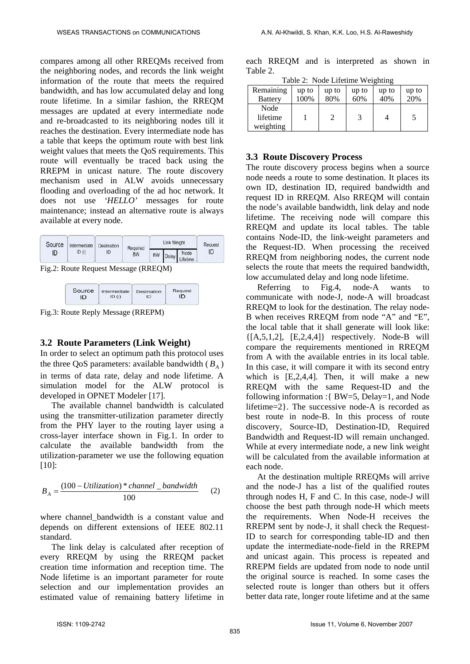compares among all other RREQMs received from the neighboring nodes, and records the link weight information of the route that meets the required bandwidth, and has low accumulated delay and long route lifetime. In a similar fashion, the RREQM messages are updated at every intermediate node and re-broadcasted to its neighboring nodes till it reaches the destination. Every intermediate node has a table that keeps the optimum route with best link weight values that meets the QoS requirements. This route will eventually be traced back using the RREPM in unicast nature. The route discovery mechanism used in ALW avoids unnecessary flooding and overloading of the ad hoc network. It does not use *'HELLO'* messages for route maintenance; instead an alternative route is always available at every node.

| Source       | Intermediate | Destination<br>Required |    | <b>Link Weight</b> |            | Request |
|--------------|--------------|-------------------------|----|--------------------|------------|---------|
| ID (i)<br>ID | ID           | <b>BW</b>               | BW |                    | Delay Node | ID      |

Fig.2: Route Request Message (RREQM)



Fig.3: Route Reply Message (RREPM)

## **3.2 Route Parameters (Link Weight)**

In order to select an optimum path this protocol uses the three QoS parameters: available bandwidth  $(B_A)$ in terms of data rate, delay and node lifetime. A simulation model for the ALW protocol is developed in OPNET Modeler [17].

The available channel bandwidth is calculated using the transmitter-utilization parameter directly from the PHY layer to the routing layer using a cross-layer interface shown in Fig.1. In order to calculate the available bandwidth from the utilization-parameter we use the following equation [10]:

$$
B_A = \frac{(100 - Utilization)*channel\_bandwidth}{100} \tag{2}
$$

where channel bandwidth is a constant value and depends on different extensions of IEEE 802.11 standard.

The link delay is calculated after reception of every RREQM by using the RREQM packet creation time information and reception time. The Node lifetime is an important parameter for route selection and our implementation provides an estimated value of remaining battery lifetime in

each RREQM and is interpreted as shown in Table 2.

Table 2: Node Lifetime Weighting

| $10010 \pm 10000 \pm 1100000 \pm 100000$ |       |       |       |       |       |
|------------------------------------------|-------|-------|-------|-------|-------|
| Remaining                                | up to | up to | up to | up to | up to |
| <b>Battery</b>                           | 100%  | 80%   | 60%   | 40%   | 20%   |
| Node                                     |       |       |       |       |       |
| lifetime                                 |       |       | 3     |       | 5     |
| weighting                                |       |       |       |       |       |

## **3.3 Route Discovery Process**

The route discovery process begins when a source node needs a route to some destination. It places its own ID, destination ID, required bandwidth and request ID in RREQM. Also RREQM will contain the node's available bandwidth, link delay and node lifetime. The receiving node will compare this RREQM and update its local tables. The table contains Node-ID, the link-weight parameters and the Request-ID. When processing the received RREQM from neighboring nodes, the current node selects the route that meets the required bandwidth, low accumulated delay and long node lifetime.

Referring to Fig.4, node-A wants to communicate with node-J, node-A will broadcast RREQM to look for the destination. The relay node-B when receives RREQM from node "A" and "E", the local table that it shall generate will look like:  $\{[A,5,1,2], [E,2,4,4]\}$  respectively. Node-B will compare the requirements mentioned in RREQM from A with the available entries in its local table. In this case, it will compare it with its second entry which is [E,2,4,4]. Then, it will make a new RREQM with the same Request-ID and the following information :{ BW=5, Delay=1, and Node lifetime=2}. The successive node-A is recorded as best route in node-B. In this process of route discovery, Source-ID, Destination-ID, Required Bandwidth and Request-ID will remain unchanged. While at every intermediate node, a new link weight will be calculated from the available information at each node.

At the destination multiple RREQMs will arrive and the node-J has a list of the qualified routes through nodes H, F and C. In this case, node-J will choose the best path through node-H which meets the requirements. When Node-H receives the RREPM sent by node-J, it shall check the Request-ID to search for corresponding table-ID and then update the intermediate-node-field in the RREPM and unicast again. This process is repeated and RREPM fields are updated from node to node until the original source is reached. In some cases the selected route is longer than others but it offers better data rate, longer route lifetime and at the same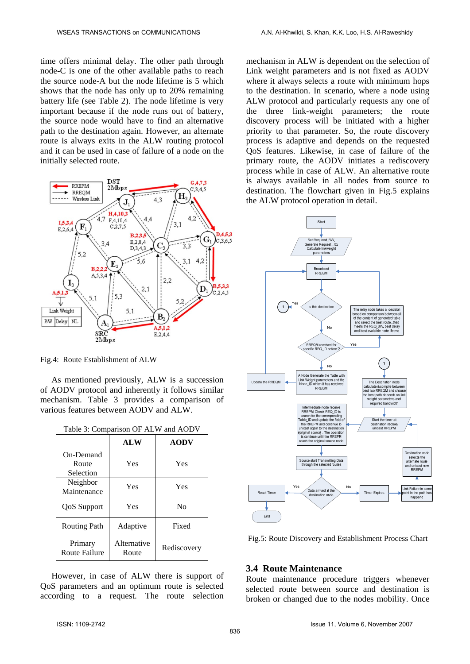time offers minimal delay. The other path through node-C is one of the other available paths to reach the source node-A but the node lifetime is 5 which shows that the node has only up to 20% remaining battery life (see Table 2). The node lifetime is very important because if the node runs out of battery, the source node would have to find an alternative path to the destination again. However, an alternate route is always exits in the ALW routing protocol and it can be used in case of failure of a node on the initially selected route.



Fig.4: Route Establishment of ALW

As mentioned previously, ALW is a succession of AODV protocol and inherently it follows similar mechanism. Table 3 provides a comparison of various features between AODV and ALW.

|  |  | Table 3: Comparison OF ALW and AODV |  |  |
|--|--|-------------------------------------|--|--|
|--|--|-------------------------------------|--|--|

|                                 | <b>ALW</b>           | <b>AODV</b> |
|---------------------------------|----------------------|-------------|
| On-Demand                       |                      |             |
| Route                           | Yes                  | Yes         |
| Selection                       |                      |             |
| Neighbor                        | Yes                  | Yes         |
| Maintenance                     |                      |             |
| <b>QoS</b> Support              | Yes                  | No          |
| <b>Routing Path</b>             | Adaptive             | Fixed       |
| Primary<br><b>Route Failure</b> | Alternative<br>Route | Rediscovery |

However, in case of ALW there is support of QoS parameters and an optimum route is selected according to a request. The route selection

mechanism in ALW is dependent on the selection of Link weight parameters and is not fixed as AODV where it always selects a route with minimum hops to the destination. In scenario, where a node using ALW protocol and particularly requests any one of the three link-weight parameters; the route discovery process will be initiated with a higher priority to that parameter. So, the route discovery process is adaptive and depends on the requested QoS features. Likewise, in case of failure of the primary route, the AODV initiates a rediscovery process while in case of ALW. An alternative route is always available in all nodes from source to destination. The flowchart given in Fig.5 explains the ALW protocol operation in detail.



Fig.5: Route Discovery and Establishment Process Chart

#### **3.4 Route Maintenance**

Route maintenance procedure triggers whenever selected route between source and destination is broken or changed due to the nodes mobility. Once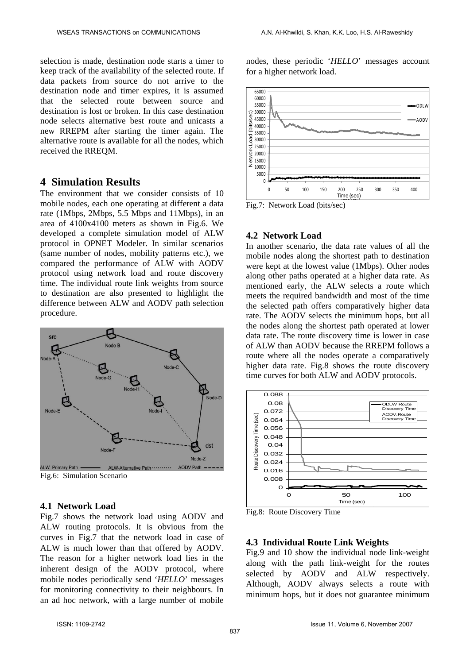selection is made, destination node starts a timer to keep track of the availability of the selected route. If data packets from source do not arrive to the destination node and timer expires, it is assumed that the selected route between source and destination is lost or broken. In this case destination node selects alternative best route and unicasts a new RREPM after starting the timer again. The alternative route is available for all the nodes, which received the RREQM.

#### **4 Simulation Results**

The environment that we consider consists of 10 mobile nodes, each one operating at different a data rate (1Mbps, 2Mbps, 5.5 Mbps and 11Mbps), in an area of 4100x4100 meters as shown in Fig.6. We developed a complete simulation model of ALW protocol in OPNET Modeler. In similar scenarios (same number of nodes, mobility patterns etc.), we compared the performance of ALW with AODV protocol using network load and route discovery time. The individual route link weights from source to destination are also presented to highlight the difference between ALW and AODV path selection procedure.



Fig.6: Simulation Scenario

#### **4.1 Network Load**

Fig.7 shows the network load using AODV and ALW routing protocols. It is obvious from the curves in Fig.7 that the network load in case of ALW is much lower than that offered by AODV. The reason for a higher network load lies in the inherent design of the AODV protocol, where mobile nodes periodically send '*HELLO*' messages for monitoring connectivity to their neighbours. In an ad hoc network, with a large number of mobile

nodes, these periodic '*HELLO*' messages account for a higher network load.



Fig.7: Network Load (bits/sec)

### **4.2 Network Load**

In another scenario, the data rate values of all the mobile nodes along the shortest path to destination were kept at the lowest value (1Mbps). Other nodes along other paths operated at a higher data rate. As mentioned early, the ALW selects a route which meets the required bandwidth and most of the time the selected path offers comparatively higher data rate. The AODV selects the minimum hops, but all the nodes along the shortest path operated at lower data rate. The route discovery time is lower in case of ALW than AODV because the RREPM follows a route where all the nodes operate a comparatively higher data rate. Fig.8 shows the route discovery time curves for both ALW and AODV protocols.



Fig.8: Route Discovery Time

#### **4.3 Individual Route Link Weights**

Fig.9 and 10 show the individual node link-weight along with the path link-weight for the routes selected by AODV and ALW respectively. Although, AODV always selects a route with minimum hops, but it does not guarantee minimum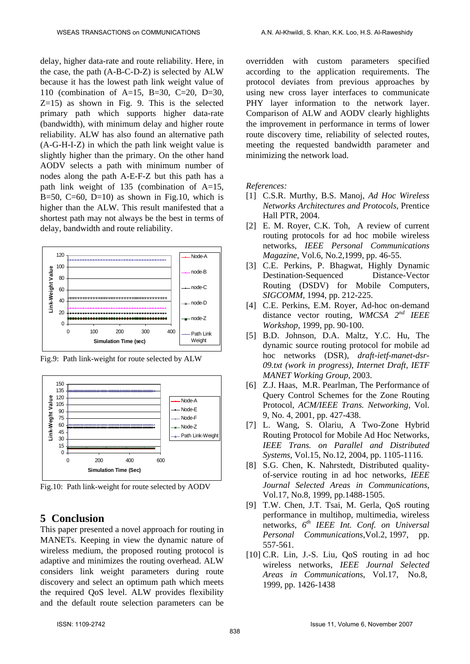delay, higher data-rate and route reliability. Here, in the case, the path (A-B-C-D-Z) is selected by ALW because it has the lowest path link weight value of 110 (combination of A=15, B=30, C=20, D=30,  $Z=15$ ) as shown in Fig. 9. This is the selected primary path which supports higher data-rate (bandwidth), with minimum delay and higher route reliability. ALW has also found an alternative path (A-G-H-I-Z) in which the path link weight value is slightly higher than the primary. On the other hand AODV selects a path with minimum number of nodes along the path A-E-F-Z but this path has a path link weight of 135 (combination of A=15, B=50, C=60, D=10) as shown in Fig.10, which is higher than the ALW. This result manifested that a shortest path may not always be the best in terms of delay, bandwidth and route reliability.



Fig.9: Path link-weight for route selected by ALW



Fig.10: Path link-weight for route selected by AODV

## **5 Conclusion**

This paper presented a novel approach for routing in MANETs. Keeping in view the dynamic nature of wireless medium, the proposed routing protocol is adaptive and minimizes the routing overhead. ALW considers link weight parameters during route discovery and select an optimum path which meets the required QoS level. ALW provides flexibility and the default route selection parameters can be overridden with custom parameters specified according to the application requirements. The protocol deviates from previous approaches by using new cross layer interfaces to communicate PHY layer information to the network layer. Comparison of ALW and AODV clearly highlights the improvement in performance in terms of lower route discovery time, reliability of selected routes, meeting the requested bandwidth parameter and minimizing the network load.

*References:* 

- [1] C.S.R. Murthy, B.S. Manoj, *Ad Hoc Wireless Networks Architectures and Protocols*, Prentice Hall PTR, 2004.
- [2] E. M. Royer, C.K. Toh, A review of current routing protocols for ad hoc mobile wireless networks, *IEEE Personal Communications Magazine*, Vol.6, No.2,1999, pp. 46-55.
- [3] C.E. Perkins, P. Bhagwat, Highly Dynamic Destination-Sequenced Distance-Vector Routing (DSDV) for Mobile Computers, *SIGCOMM*, 1994, pp. 212-225.
- [4] C.E. Perkins, E.M. Royer, Ad-hoc on-demand distance vector routing, *WMCSA 2nd IEEE Workshop*, 1999, pp. 90-100.
- [5] B.D. Johnson, D.A. Maltz, Y.C. Hu, The dynamic source routing protocol for mobile ad hoc networks (DSR), *draft-ietf-manet-dsr-09.txt (work in progress), Internet Draft, IETF MANET Working Group*, 2003.
- [6] Z.J. Haas, M.R. Pearlman, The Performance of Query Control Schemes for the Zone Routing Protocol, *ACM/IEEE Trans. Networking*, Vol. 9, No. 4, 2001, pp. 427-438.
- [7] L. Wang, S. Olariu, A Two-Zone Hybrid Routing Protocol for Mobile Ad Hoc Networks, *IEEE Trans. on Parallel and Distributed Systems*, Vol.15, No.12, 2004, pp. 1105-1116.
- [8] S.G. Chen, K. Nahrstedt, Distributed qualityof-service routing in ad hoc networks, *IEEE Journal Selected Areas in Communications*, Vol.17, No.8, 1999, pp.1488-1505.
- [9] T.W. Chen, J.T. Tsai, M. Gerla, QoS routing performance in multihop, multimedia, wireless networks, *6th IEEE Int. Conf. on Universal Personal Communications*,Vol.2, 1997, pp. 557-561.
- [10] C.R. Lin, J.-S. Liu, QoS routing in ad hoc wireless networks, *IEEE Journal Selected Areas in Communications*, Vol.17, No.8, 1999, pp. 1426-1438